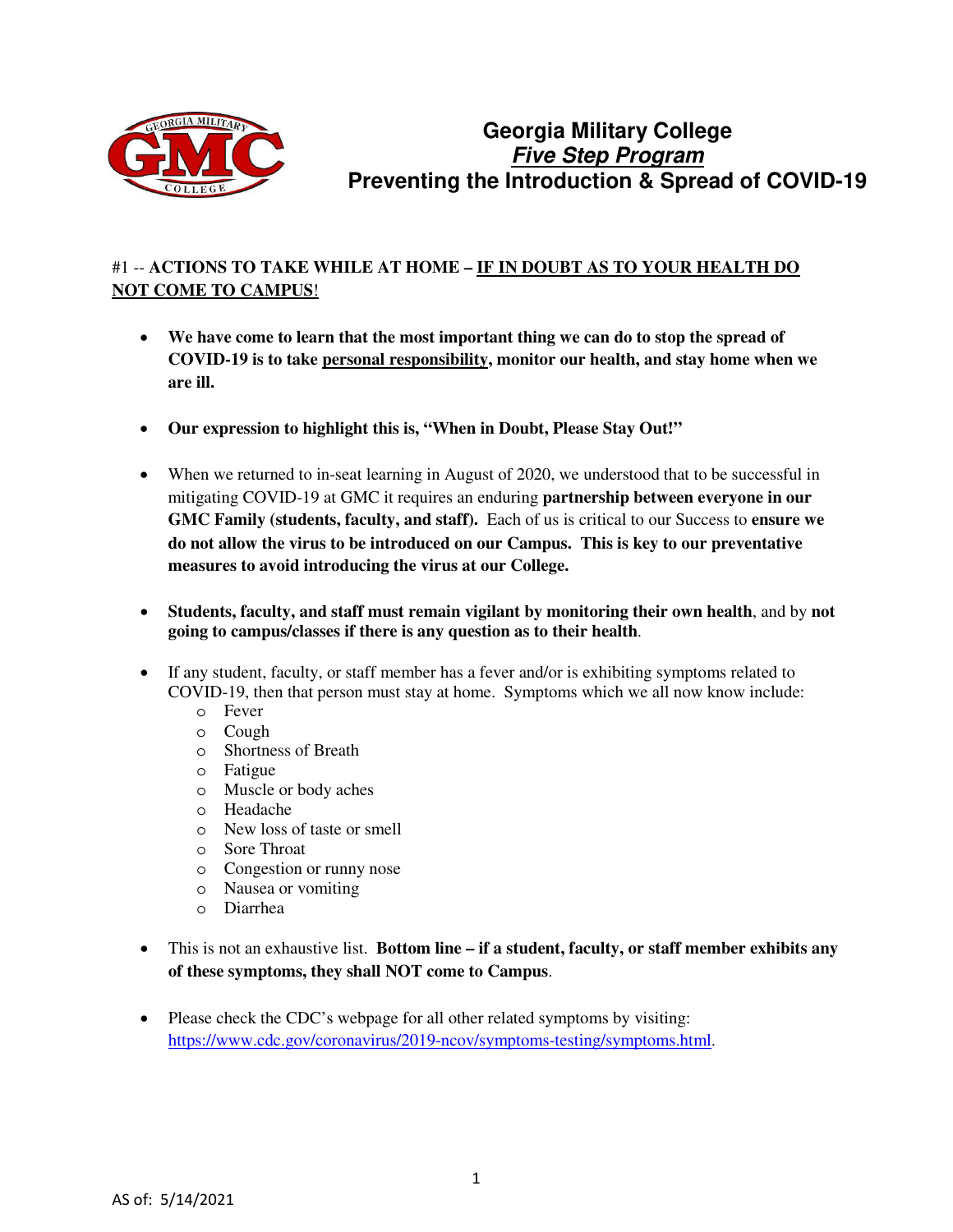

# **Georgia Military College Five Step Program Preventing the Introduction & Spread of COVID-19**

### #1 -- **ACTIONS TO TAKE WHILE AT HOME – IF IN DOUBT AS TO YOUR HEALTH DO NOT COME TO CAMPUS**!

- **We have come to learn that the most important thing we can do to stop the spread of COVID-19 is to take personal responsibility, monitor our health, and stay home when we are ill.**
- **Our expression to highlight this is, "When in Doubt, Please Stay Out!"**
- When we returned to in-seat learning in August of 2020, we understood that to be successful in mitigating COVID-19 at GMC it requires an enduring **partnership between everyone in our GMC Family (students, faculty, and staff).** Each of us is critical to our Success to **ensure we do not allow the virus to be introduced on our Campus. This is key to our preventative measures to avoid introducing the virus at our College.**
- **Students, faculty, and staff must remain vigilant by monitoring their own health**, and by **not going to campus/classes if there is any question as to their health**.
- If any student, faculty, or staff member has a fever and/or is exhibiting symptoms related to COVID-19, then that person must stay at home. Symptoms which we all now know include:
	- o Fever
	- o Cough
	- o Shortness of Breath
	- o Fatigue
	- o Muscle or body aches
	- o Headache
	- o New loss of taste or smell
	- o Sore Throat
	- o Congestion or runny nose
	- o Nausea or vomiting
	- o Diarrhea
- This is not an exhaustive list. **Bottom line if a student, faculty, or staff member exhibits any of these symptoms, they shall NOT come to Campus**.
- Please check the CDC's webpage for all other related symptoms by visiting: [https://www.cdc.gov/coronavirus/2019-ncov/symptoms-testing/symptoms.html.](https://www.cdc.gov/coronavirus/2019-ncov/symptoms-testing/symptoms.html)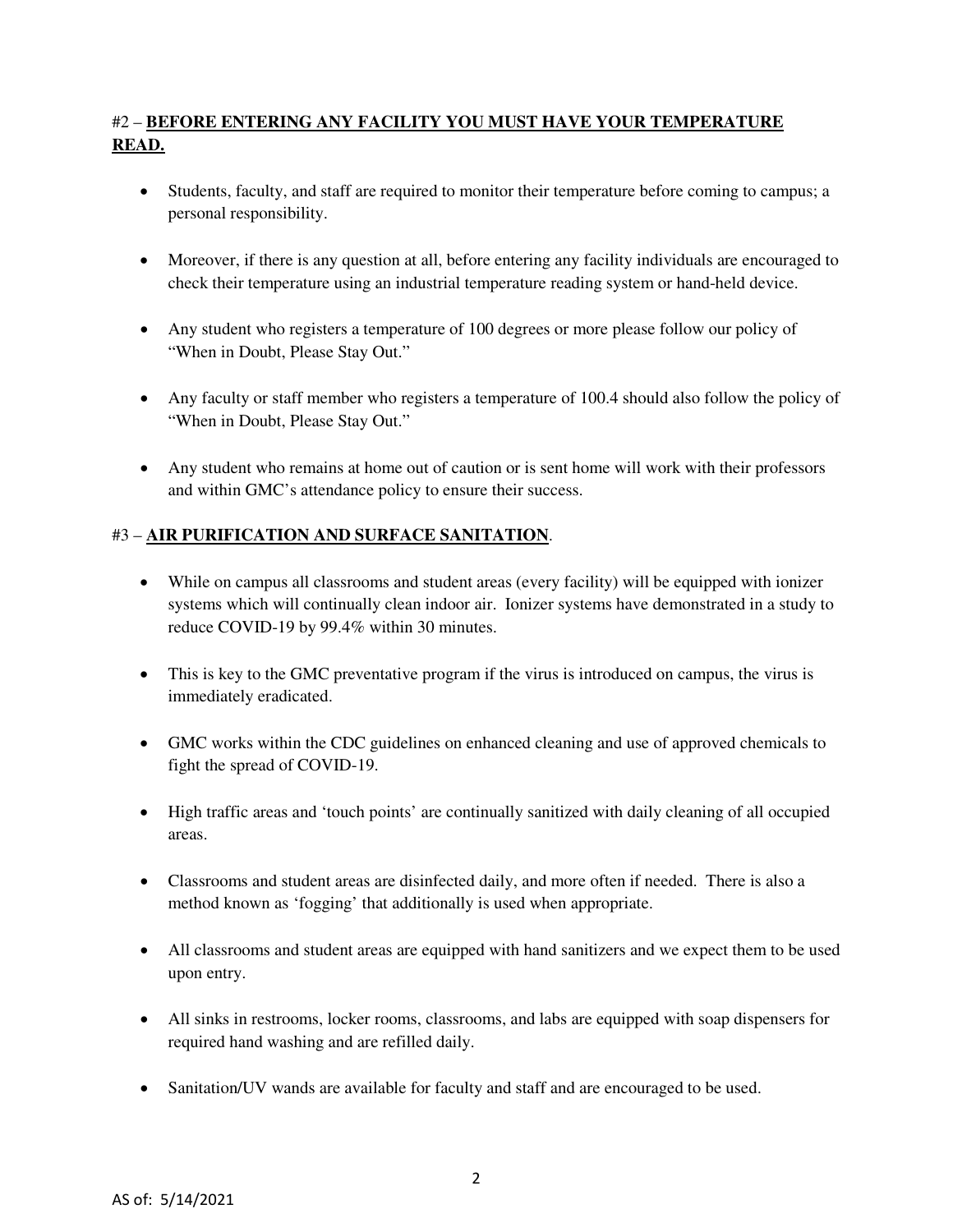# #2 – **BEFORE ENTERING ANY FACILITY YOU MUST HAVE YOUR TEMPERATURE READ.**

- Students, faculty, and staff are required to monitor their temperature before coming to campus; a personal responsibility.
- Moreover, if there is any question at all, before entering any facility individuals are encouraged to check their temperature using an industrial temperature reading system or hand-held device.
- Any student who registers a temperature of 100 degrees or more please follow our policy of "When in Doubt, Please Stay Out."
- Any faculty or staff member who registers a temperature of 100.4 should also follow the policy of "When in Doubt, Please Stay Out."
- Any student who remains at home out of caution or is sent home will work with their professors and within GMC's attendance policy to ensure their success.

#### #3 – **AIR PURIFICATION AND SURFACE SANITATION**.

- While on campus all classrooms and student areas (every facility) will be equipped with ionizer systems which will continually clean indoor air. Ionizer systems have demonstrated in a study to reduce COVID-19 by 99.4% within 30 minutes.
- This is key to the GMC preventative program if the virus is introduced on campus, the virus is immediately eradicated.
- GMC works within the CDC guidelines on enhanced cleaning and use of approved chemicals to fight the spread of COVID-19.
- High traffic areas and 'touch points' are continually sanitized with daily cleaning of all occupied areas.
- Classrooms and student areas are disinfected daily, and more often if needed. There is also a method known as 'fogging' that additionally is used when appropriate.
- All classrooms and student areas are equipped with hand sanitizers and we expect them to be used upon entry.
- All sinks in restrooms, locker rooms, classrooms, and labs are equipped with soap dispensers for required hand washing and are refilled daily.
- Sanitation/UV wands are available for faculty and staff and are encouraged to be used.